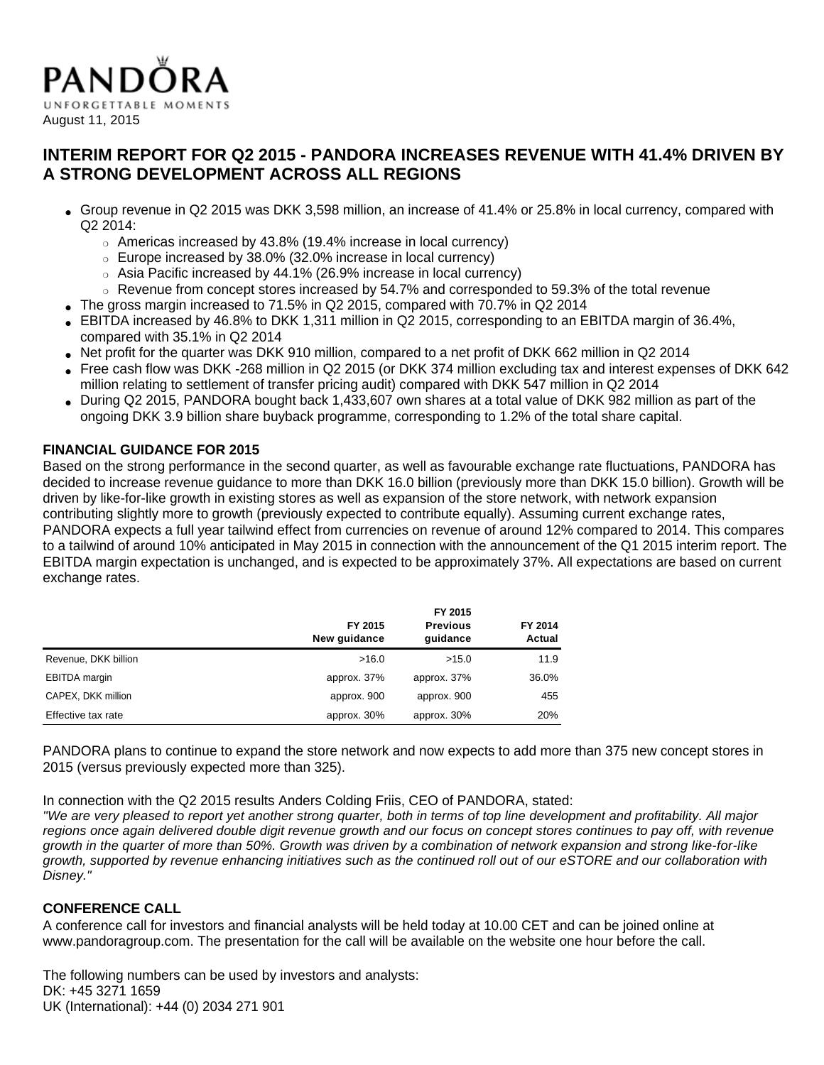

# **INTERIM REPORT FOR Q2 2015 - PANDORA INCREASES REVENUE WITH 41.4% DRIVEN BY A STRONG DEVELOPMENT ACROSS ALL REGIONS**

- Group revenue in Q2 2015 was DKK 3,598 million, an increase of 41.4% or 25.8% in local currency, compared with Q2 2014:
	- ❍ Americas increased by 43.8% (19.4% increase in local currency)
	- ❍ Europe increased by 38.0% (32.0% increase in local currency)
	- ❍ Asia Pacific increased by 44.1% (26.9% increase in local currency)
	- ❍ Revenue from concept stores increased by 54.7% and corresponded to 59.3% of the total revenue
- The gross margin increased to 71.5% in Q2 2015, compared with 70.7% in Q2 2014
- $\bullet$  EBITDA increased by 46.8% to DKK 1,311 million in Q2 2015, corresponding to an EBITDA margin of 36.4%, compared with 35.1% in Q2 2014
- Net profit for the quarter was DKK 910 million, compared to a net profit of DKK 662 million in Q2 2014
- Free cash flow was DKK -268 million in Q2 2015 (or DKK 374 million excluding tax and interest expenses of DKK 642 million relating to settlement of transfer pricing audit) compared with DKK 547 million in Q2 2014
- During Q2 2015, PANDORA bought back 1,433,607 own shares at a total value of DKK 982 million as part of the ongoing DKK 3.9 billion share buyback programme, corresponding to 1.2% of the total share capital.

### **FINANCIAL GUIDANCE FOR 2015**

Based on the strong performance in the second quarter, as well as favourable exchange rate fluctuations, PANDORA has decided to increase revenue guidance to more than DKK 16.0 billion (previously more than DKK 15.0 billion). Growth will be driven by like-for-like growth in existing stores as well as expansion of the store network, with network expansion contributing slightly more to growth (previously expected to contribute equally). Assuming current exchange rates, PANDORA expects a full year tailwind effect from currencies on revenue of around 12% compared to 2014. This compares to a tailwind of around 10% anticipated in May 2015 in connection with the announcement of the Q1 2015 interim report. The EBITDA margin expectation is unchanged, and is expected to be approximately 37%. All expectations are based on current exchange rates.

|                      | FY 2015<br>New guidance | FY 2015<br><b>Previous</b><br>quidance | FY 2014<br>Actual |
|----------------------|-------------------------|----------------------------------------|-------------------|
| Revenue, DKK billion | >16.0                   | >15.0                                  | 11.9              |
| <b>EBITDA</b> margin | approx. 37%             | approx. 37%                            | 36.0%             |
| CAPEX, DKK million   | approx. 900             | approx. 900                            | 455               |
| Effective tax rate   | approx. 30%             | approx. 30%                            | 20%               |

PANDORA plans to continue to expand the store network and now expects to add more than 375 new concept stores in 2015 (versus previously expected more than 325).

In connection with the Q2 2015 results Anders Colding Friis, CEO of PANDORA, stated:

"We are very pleased to report yet another strong quarter, both in terms of top line development and profitability. All major regions once again delivered double digit revenue growth and our focus on concept stores continues to pay off, with revenue growth in the quarter of more than 50%. Growth was driven by a combination of network expansion and strong like-for-like growth, supported by revenue enhancing initiatives such as the continued roll out of our eSTORE and our collaboration with Disney."

## **CONFERENCE CALL**

A conference call for investors and financial analysts will be held today at 10.00 CET and can be joined online at www.pandoragroup.com. The presentation for the call will be available on the website one hour before the call.

The following numbers can be used by investors and analysts: DK: +45 3271 1659 UK (International): +44 (0) 2034 271 901